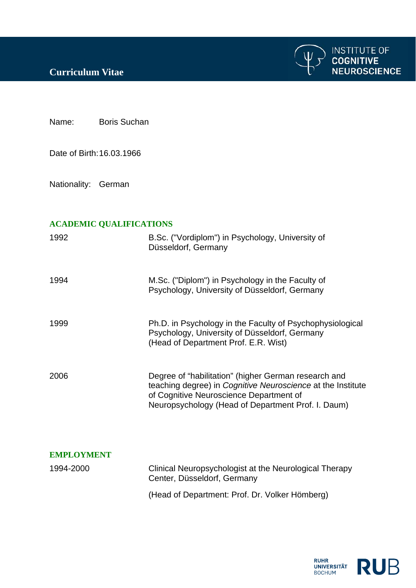

Name: Boris Suchan

Date of Birth: 16.03.1966

Nationality: German

## **ACADEMIC QUALIFICATIONS**

| 1992              | B.Sc. ("Vordiplom") in Psychology, University of<br>Düsseldorf, Germany                                                                                                                                              |
|-------------------|----------------------------------------------------------------------------------------------------------------------------------------------------------------------------------------------------------------------|
| 1994              | M.Sc. ("Diplom") in Psychology in the Faculty of<br>Psychology, University of Düsseldorf, Germany                                                                                                                    |
| 1999              | Ph.D. in Psychology in the Faculty of Psychophysiological<br>Psychology, University of Düsseldorf, Germany<br>(Head of Department Prof. E.R. Wist)                                                                   |
| 2006              | Degree of "habilitation" (higher German research and<br>teaching degree) in Cognitive Neuroscience at the Institute<br>of Cognitive Neuroscience Department of<br>Neuropsychology (Head of Department Prof. I. Daum) |
| <b>EMPLOYMENT</b> |                                                                                                                                                                                                                      |
| 1994-2000         | Clinical Neuropsychologist at the Neurological Therapy<br>Center, Düsseldorf, Germany                                                                                                                                |
|                   | (Head of Department: Prof. Dr. Volker Hömberg)                                                                                                                                                                       |